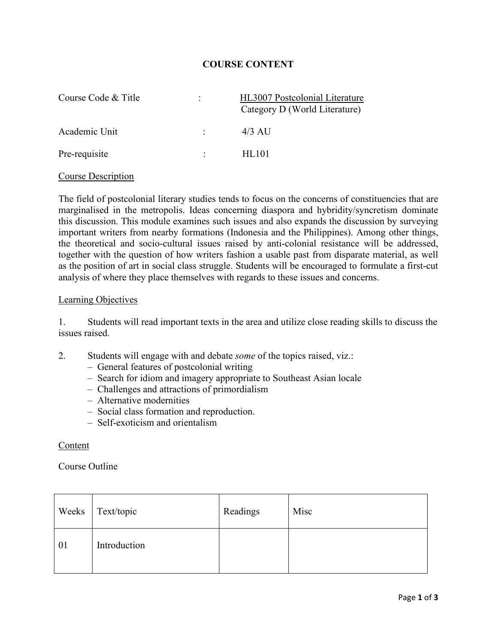## **COURSE CONTENT**

| Course Code & Title | ÷ | HL3007 Postcolonial Literature<br>Category D (World Literature) |
|---------------------|---|-----------------------------------------------------------------|
| Academic Unit       |   | $4/3$ AU                                                        |
| Pre-requisite       |   | HL101                                                           |

### Course Description

The field of postcolonial literary studies tends to focus on the concerns of constituencies that are marginalised in the metropolis. Ideas concerning diaspora and hybridity/syncretism dominate this discussion. This module examines such issues and also expands the discussion by surveying important writers from nearby formations (Indonesia and the Philippines). Among other things, the theoretical and socio-cultural issues raised by anti-colonial resistance will be addressed, together with the question of how writers fashion a usable past from disparate material, as well as the position of art in social class struggle. Students will be encouraged to formulate a first-cut analysis of where they place themselves with regards to these issues and concerns.

#### Learning Objectives

1. Students will read important texts in the area and utilize close reading skills to discuss the issues raised.

- 2. Students will engage with and debate *some* of the topics raised, viz.:
	- General features of postcolonial writing
	- Search for idiom and imagery appropriate to Southeast Asian locale
	- Challenges and attractions of primordialism
	- Alternative modernities
	- Social class formation and reproduction.
	- Self-exoticism and orientalism

### Content

## Course Outline

| Weeks | Text/topic   | Readings | Misc |
|-------|--------------|----------|------|
| 01    | Introduction |          |      |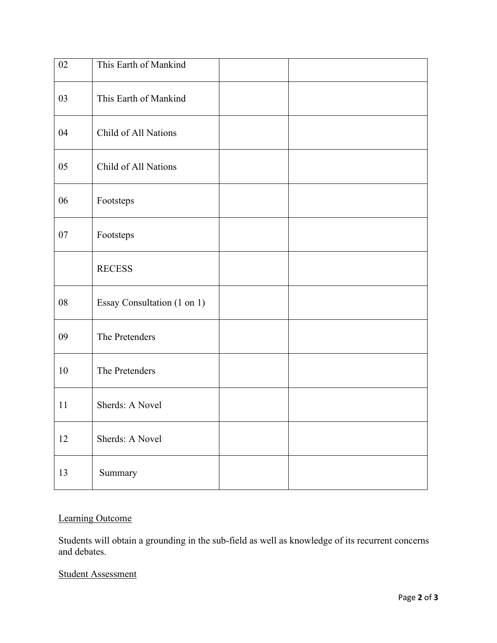| 02     | This Earth of Mankind       |  |
|--------|-----------------------------|--|
| 03     | This Earth of Mankind       |  |
| 04     | Child of All Nations        |  |
| 05     | Child of All Nations        |  |
| 06     | Footsteps                   |  |
| $07\,$ | Footsteps                   |  |
|        | <b>RECESS</b>               |  |
| 08     | Essay Consultation (1 on 1) |  |
| 09     | The Pretenders              |  |
| 10     | The Pretenders              |  |
| 11     | Sherds: A Novel             |  |
| 12     | Sherds: A Novel             |  |
| 13     | Summary                     |  |

# Learning Outcome

Students will obtain a grounding in the sub-field as well as knowledge of its recurrent concerns and debates.

# Student Assessment